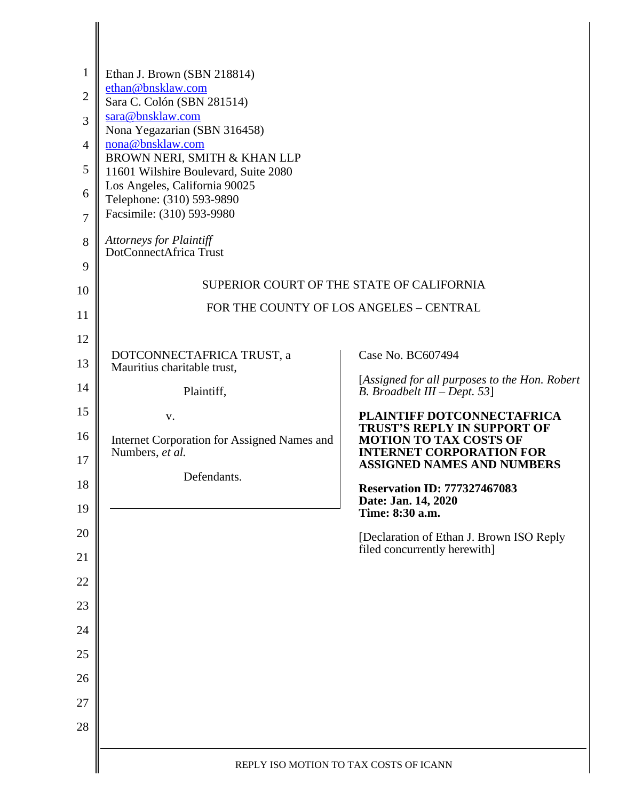| $\mathbf{1}$<br>$\overline{2}$<br>3<br>$\overline{4}$<br>5<br>6<br>$\overline{7}$ | Ethan J. Brown (SBN 218814)<br>ethan@bnsklaw.com<br>Sara C. Colón (SBN 281514)<br>sara@bnsklaw.com<br>Nona Yegazarian (SBN 316458)<br>nona@bnsklaw.com<br>BROWN NERI, SMITH & KHAN LLP<br>11601 Wilshire Boulevard, Suite 2080<br>Los Angeles, California 90025<br>Telephone: (310) 593-9890<br>Facsimile: (310) 593-9980 |                                                                                                        |  |
|-----------------------------------------------------------------------------------|---------------------------------------------------------------------------------------------------------------------------------------------------------------------------------------------------------------------------------------------------------------------------------------------------------------------------|--------------------------------------------------------------------------------------------------------|--|
| 8                                                                                 | <b>Attorneys for Plaintiff</b><br>DotConnectAfrica Trust                                                                                                                                                                                                                                                                  |                                                                                                        |  |
| 9                                                                                 |                                                                                                                                                                                                                                                                                                                           | SUPERIOR COURT OF THE STATE OF CALIFORNIA                                                              |  |
| 10                                                                                | FOR THE COUNTY OF LOS ANGELES - CENTRAL                                                                                                                                                                                                                                                                                   |                                                                                                        |  |
| 11<br>12                                                                          |                                                                                                                                                                                                                                                                                                                           |                                                                                                        |  |
| 13                                                                                | DOTCONNECTAFRICA TRUST, a<br>Mauritius charitable trust,                                                                                                                                                                                                                                                                  | Case No. BC607494                                                                                      |  |
| 14                                                                                | Plaintiff,                                                                                                                                                                                                                                                                                                                | [Assigned for all purposes to the Hon. Robert<br>B. Broadbelt III – Dept. 53]                          |  |
| 15                                                                                | V.                                                                                                                                                                                                                                                                                                                        | PLAINTIFF DOTCONNECTAFRICA                                                                             |  |
| 16                                                                                | Internet Corporation for Assigned Names and<br>Numbers, et al.                                                                                                                                                                                                                                                            | <b>TRUST'S REPLY IN SUPPORT OF</b><br><b>MOTION TO TAX COSTS OF</b><br><b>INTERNET CORPORATION FOR</b> |  |
| 17<br>18                                                                          | Defendants.                                                                                                                                                                                                                                                                                                               | <b>ASSIGNED NAMES AND NUMBERS</b>                                                                      |  |
| 19                                                                                |                                                                                                                                                                                                                                                                                                                           | <b>Reservation ID: 777327467083</b><br>Date: Jan. 14, 2020<br>Time: 8:30 a.m.                          |  |
| 20                                                                                |                                                                                                                                                                                                                                                                                                                           | [Declaration of Ethan J. Brown ISO Reply                                                               |  |
| 21                                                                                |                                                                                                                                                                                                                                                                                                                           | filed concurrently herewith]                                                                           |  |
| 22                                                                                |                                                                                                                                                                                                                                                                                                                           |                                                                                                        |  |
| 23                                                                                |                                                                                                                                                                                                                                                                                                                           |                                                                                                        |  |
| 24                                                                                |                                                                                                                                                                                                                                                                                                                           |                                                                                                        |  |
| 25<br>26                                                                          |                                                                                                                                                                                                                                                                                                                           |                                                                                                        |  |
| 27                                                                                |                                                                                                                                                                                                                                                                                                                           |                                                                                                        |  |
| 28                                                                                |                                                                                                                                                                                                                                                                                                                           |                                                                                                        |  |
|                                                                                   |                                                                                                                                                                                                                                                                                                                           |                                                                                                        |  |
|                                                                                   | REPLY ISO MOTION TO TAX COSTS OF ICANN                                                                                                                                                                                                                                                                                    |                                                                                                        |  |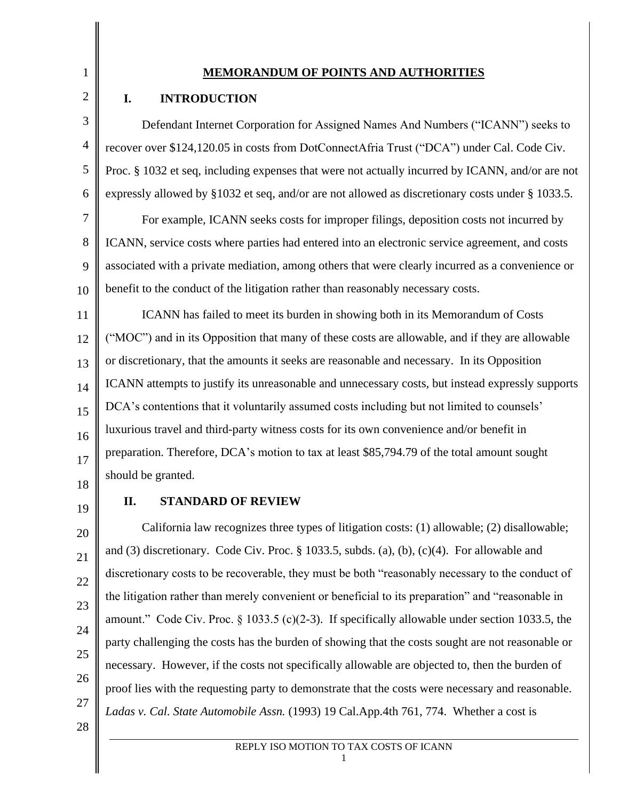1 2

3

4

5

6

### **MEMORANDUM OF POINTS AND AUTHORITIES**

### **I. INTRODUCTION**

Defendant Internet Corporation for Assigned Names And Numbers ("ICANN") seeks to recover over \$124,120.05 in costs from DotConnectAfria Trust ("DCA") under Cal. Code Civ. Proc. § 1032 et seq, including expenses that were not actually incurred by ICANN, and/or are not expressly allowed by §1032 et seq, and/or are not allowed as discretionary costs under § 1033.5.

7 8 9 10 For example, ICANN seeks costs for improper filings, deposition costs not incurred by ICANN, service costs where parties had entered into an electronic service agreement, and costs associated with a private mediation, among others that were clearly incurred as a convenience or benefit to the conduct of the litigation rather than reasonably necessary costs.

11 12 13 14 15 16 17 ICANN has failed to meet its burden in showing both in its Memorandum of Costs ("MOC") and in its Opposition that many of these costs are allowable, and if they are allowable or discretionary, that the amounts it seeks are reasonable and necessary. In its Opposition ICANN attempts to justify its unreasonable and unnecessary costs, but instead expressly supports DCA's contentions that it voluntarily assumed costs including but not limited to counsels' luxurious travel and third-party witness costs for its own convenience and/or benefit in preparation. Therefore, DCA's motion to tax at least \$85,794.79 of the total amount sought should be granted.

- 18
- 19

20

21

22

23

24

25

26

27

#### **II. STANDARD OF REVIEW**

California law recognizes three types of litigation costs: (1) allowable; (2) disallowable; and (3) discretionary. Code Civ. Proc. § 1033.5, subds. (a), (b), (c)(4). For allowable and discretionary costs to be recoverable, they must be both "reasonably necessary to the conduct of the litigation rather than merely convenient or beneficial to its preparation" and "reasonable in amount." Code Civ. Proc. § 1033.5 (c)(2-3). If specifically allowable under section 1033.5, the party challenging the costs has the burden of showing that the costs sought are not reasonable or necessary. However, if the costs not specifically allowable are objected to, then the burden of proof lies with the requesting party to demonstrate that the costs were necessary and reasonable. *Ladas v. Cal. State Automobile Assn.* (1993) 19 Cal.App.4th 761, 774. Whether a cost is

28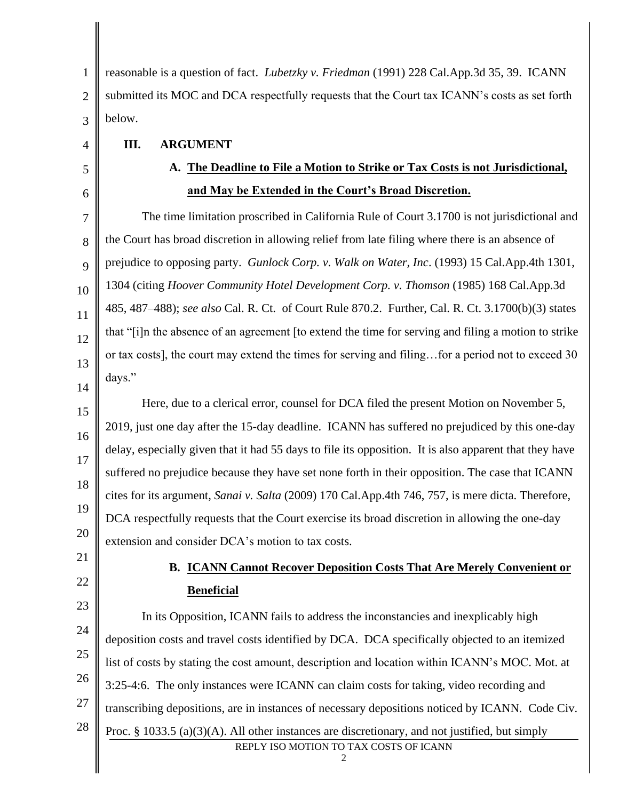1 2 3 reasonable is a question of fact. *Lubetzky v. Friedman* (1991) 228 Cal.App.3d 35, 39. ICANN submitted its MOC and DCA respectfully requests that the Court tax ICANN's costs as set forth below.

**III. ARGUMENT**

# **A. The Deadline to File a Motion to Strike or Tax Costs is not Jurisdictional, and May be Extended in the Court's Broad Discretion.**

7 8 9 10 11 12 13 14 The time limitation proscribed in California Rule of Court 3.1700 is not jurisdictional and the Court has broad discretion in allowing relief from late filing where there is an absence of prejudice to opposing party. *Gunlock Corp. v. Walk on Water, Inc*. (1993) 15 Cal.App.4th 1301, 1304 (citing *Hoover Community Hotel Development Corp. v. Thomson* (1985) 168 Cal.App.3d 485, 487–488); *see also* Cal. R. Ct. of Court Rule 870.2. Further, Cal. R. Ct. 3.1700(b)(3) states that "[i]n the absence of an agreement [to extend the time for serving and filing a motion to strike or tax costs], the court may extend the times for serving and filing…for a period not to exceed 30 days."

15 16 17 18 19 20 Here, due to a clerical error, counsel for DCA filed the present Motion on November 5, 2019, just one day after the 15-day deadline. ICANN has suffered no prejudiced by this one-day delay, especially given that it had 55 days to file its opposition. It is also apparent that they have suffered no prejudice because they have set none forth in their opposition. The case that ICANN cites for its argument, *Sanai v. Salta* (2009) 170 Cal.App.4th 746, 757, is mere dicta. Therefore, DCA respectfully requests that the Court exercise its broad discretion in allowing the one-day extension and consider DCA's motion to tax costs.

21 22

4

5

6

# **B. ICANN Cannot Recover Deposition Costs That Are Merely Convenient or Beneficial**

REPLY ISO MOTION TO TAX COSTS OF ICANN 23 24 25 26 27 28 In its Opposition, ICANN fails to address the inconstancies and inexplicably high deposition costs and travel costs identified by DCA. DCA specifically objected to an itemized list of costs by stating the cost amount, description and location within ICANN's MOC. Mot. at 3:25-4:6. The only instances were ICANN can claim costs for taking, video recording and transcribing depositions, are in instances of necessary depositions noticed by ICANN. Code Civ. Proc. § 1033.5 (a)(3)(A). All other instances are discretionary, and not justified, but simply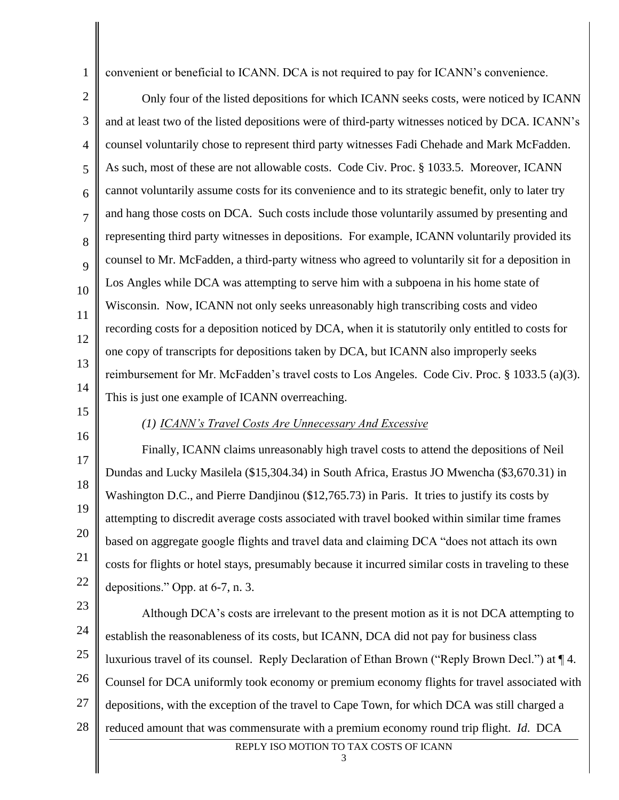convenient or beneficial to ICANN. DCA is not required to pay for ICANN's convenience.

2 3 4 5 6 7 8 9 10 11 12 13 14 Only four of the listed depositions for which ICANN seeks costs, were noticed by ICANN and at least two of the listed depositions were of third-party witnesses noticed by DCA. ICANN's counsel voluntarily chose to represent third party witnesses Fadi Chehade and Mark McFadden. As such, most of these are not allowable costs. Code Civ. Proc. § 1033.5. Moreover, ICANN cannot voluntarily assume costs for its convenience and to its strategic benefit, only to later try and hang those costs on DCA. Such costs include those voluntarily assumed by presenting and representing third party witnesses in depositions. For example, ICANN voluntarily provided its counsel to Mr. McFadden, a third-party witness who agreed to voluntarily sit for a deposition in Los Angles while DCA was attempting to serve him with a subpoena in his home state of Wisconsin. Now, ICANN not only seeks unreasonably high transcribing costs and video recording costs for a deposition noticed by DCA, when it is statutorily only entitled to costs for one copy of transcripts for depositions taken by DCA, but ICANN also improperly seeks reimbursement for Mr. McFadden's travel costs to Los Angeles. Code Civ. Proc. § 1033.5 (a)(3). This is just one example of ICANN overreaching.

15 16

1

#### *(1) ICANN's Travel Costs Are Unnecessary And Excessive*

17 18 19 20 21 22 Finally, ICANN claims unreasonably high travel costs to attend the depositions of Neil Dundas and Lucky Masilela (\$15,304.34) in South Africa, Erastus JO Mwencha (\$3,670.31) in Washington D.C., and Pierre Dandjinou (\$12,765.73) in Paris. It tries to justify its costs by attempting to discredit average costs associated with travel booked within similar time frames based on aggregate google flights and travel data and claiming DCA "does not attach its own costs for flights or hotel stays, presumably because it incurred similar costs in traveling to these depositions." Opp. at 6-7, n. 3.

23 24 25 26 27 28 Although DCA's costs are irrelevant to the present motion as it is not DCA attempting to establish the reasonableness of its costs, but ICANN, DCA did not pay for business class luxurious travel of its counsel. Reply Declaration of Ethan Brown ("Reply Brown Decl.") at ¶ 4. Counsel for DCA uniformly took economy or premium economy flights for travel associated with depositions, with the exception of the travel to Cape Town, for which DCA was still charged a reduced amount that was commensurate with a premium economy round trip flight. *Id*. DCA

REPLY ISO MOTION TO TAX COSTS OF ICANN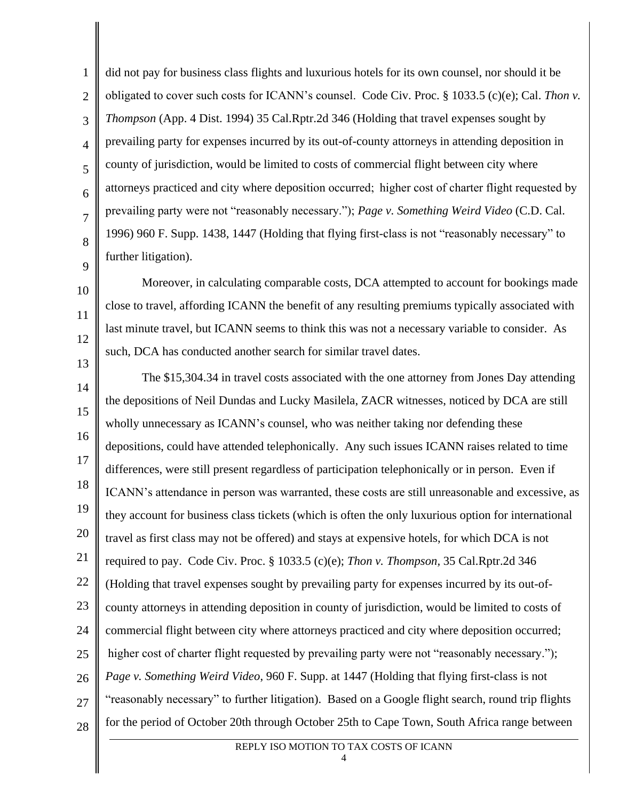1 2 3 4 5 6 7 8 9 did not pay for business class flights and luxurious hotels for its own counsel, nor should it be obligated to cover such costs for ICANN's counsel. Code Civ. Proc. § 1033.5 (c)(e); Cal. *Thon v. Thompson* (App. 4 Dist. 1994) 35 Cal.Rptr.2d 346 (Holding that travel expenses sought by prevailing party for expenses incurred by its out-of-county attorneys in attending deposition in county of jurisdiction, would be limited to costs of commercial flight between city where attorneys practiced and city where deposition occurred;  higher cost of charter flight requested by prevailing party were not "reasonably necessary."); *Page v. Something Weird Video* (C.D. Cal. 1996) 960 F. Supp. 1438, 1447 (Holding that flying first-class is not "reasonably necessary" to further litigation).

Moreover, in calculating comparable costs, DCA attempted to account for bookings made close to travel, affording ICANN the benefit of any resulting premiums typically associated with last minute travel, but ICANN seems to think this was not a necessary variable to consider. As such, DCA has conducted another search for similar travel dates.

10

11

12

13

14 15 16 17 18 19 20 21 22 23 24 25 26 27 28 The \$15,304.34 in travel costs associated with the one attorney from Jones Day attending the depositions of Neil Dundas and Lucky Masilela, ZACR witnesses, noticed by DCA are still wholly unnecessary as ICANN's counsel, who was neither taking nor defending these depositions, could have attended telephonically. Any such issues ICANN raises related to time differences, were still present regardless of participation telephonically or in person. Even if ICANN's attendance in person was warranted, these costs are still unreasonable and excessive, as they account for business class tickets (which is often the only luxurious option for international travel as first class may not be offered) and stays at expensive hotels, for which DCA is not required to pay. Code Civ. Proc. § 1033.5 (c)(e); *Thon v. Thompson,* 35 Cal.Rptr.2d 346 (Holding that travel expenses sought by prevailing party for expenses incurred by its out-ofcounty attorneys in attending deposition in county of jurisdiction, would be limited to costs of commercial flight between city where attorneys practiced and city where deposition occurred; higher cost of charter flight requested by prevailing party were not "reasonably necessary."); *Page v. Something Weird Video*, 960 F. Supp. at 1447 (Holding that flying first-class is not "reasonably necessary" to further litigation). Based on a Google flight search, round trip flights for the period of October 20th through October 25th to Cape Town, South Africa range between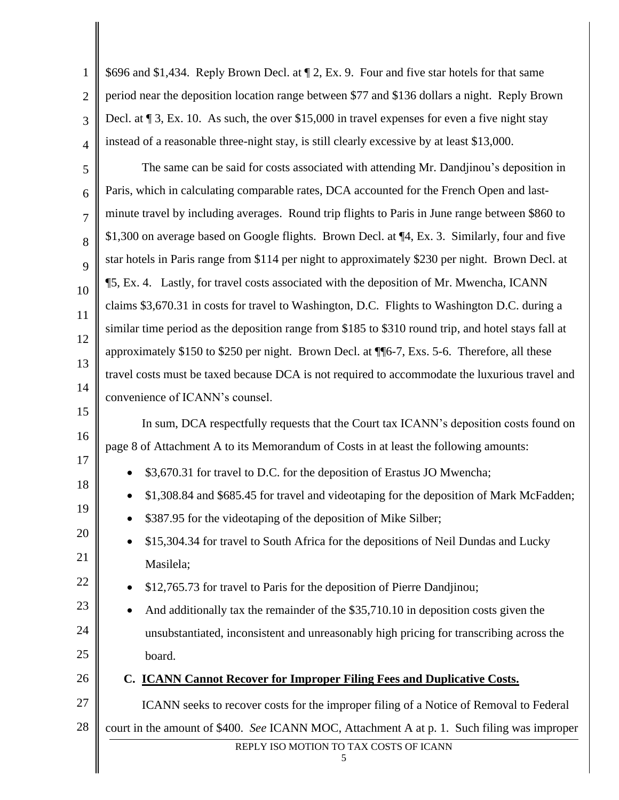| $\mathbf{1}$   | \$696 and \$1,434. Reply Brown Decl. at 1 2, Ex. 9. Four and five star hotels for that same         |  |  |  |
|----------------|-----------------------------------------------------------------------------------------------------|--|--|--|
| $\overline{2}$ | period near the deposition location range between \$77 and \$136 dollars a night. Reply Brown       |  |  |  |
| 3              | Decl. at $\P$ 3, Ex. 10. As such, the over \$15,000 in travel expenses for even a five night stay   |  |  |  |
| $\overline{4}$ | instead of a reasonable three-night stay, is still clearly excessive by at least \$13,000.          |  |  |  |
| 5              | The same can be said for costs associated with attending Mr. Dandjinou's deposition in              |  |  |  |
| 6              | Paris, which in calculating comparable rates, DCA accounted for the French Open and last-           |  |  |  |
| 7              | minute travel by including averages. Round trip flights to Paris in June range between \$860 to     |  |  |  |
| 8              | \$1,300 on average based on Google flights. Brown Decl. at ¶4, Ex. 3. Similarly, four and five      |  |  |  |
| 9              | star hotels in Paris range from \$114 per night to approximately \$230 per night. Brown Decl. at    |  |  |  |
| 10             | ¶5, Ex. 4. Lastly, for travel costs associated with the deposition of Mr. Mwencha, ICANN            |  |  |  |
| 11             | claims \$3,670.31 in costs for travel to Washington, D.C. Flights to Washington D.C. during a       |  |  |  |
| 12             | similar time period as the deposition range from \$185 to \$310 round trip, and hotel stays fall at |  |  |  |
| 13             | approximately \$150 to \$250 per night. Brown Decl. at ¶ 6-7, Exs. 5-6. Therefore, all these        |  |  |  |
| 14             | travel costs must be taxed because DCA is not required to accommodate the luxurious travel and      |  |  |  |
| 15             | convenience of ICANN's counsel.                                                                     |  |  |  |
| 16             | In sum, DCA respectfully requests that the Court tax ICANN's deposition costs found on              |  |  |  |
| 17             | page 8 of Attachment A to its Memorandum of Costs in at least the following amounts:                |  |  |  |
| 18             | • \$3,670.31 for travel to D.C. for the deposition of Erastus JO Mwencha;                           |  |  |  |
| 19             | \$1,308.84 and \$685.45 for travel and videotaping for the deposition of Mark McFadden;             |  |  |  |
|                | \$387.95 for the videotaping of the deposition of Mike Silber;                                      |  |  |  |
| 20             | \$15,304.34 for travel to South Africa for the depositions of Neil Dundas and Lucky                 |  |  |  |
| 21             | Masilela;                                                                                           |  |  |  |
| 22             | \$12,765.73 for travel to Paris for the deposition of Pierre Dandjinou;                             |  |  |  |
| 23             | And additionally tax the remainder of the \$35,710.10 in deposition costs given the                 |  |  |  |
| 24             | unsubstantiated, inconsistent and unreasonably high pricing for transcribing across the             |  |  |  |
| 25             | board.                                                                                              |  |  |  |
| 26             | C. <b>ICANN Cannot Recover for Improper Filing Fees and Duplicative Costs.</b>                      |  |  |  |
| 27             | ICANN seeks to recover costs for the improper filing of a Notice of Removal to Federal              |  |  |  |
| 28             | court in the amount of \$400. See ICANN MOC, Attachment A at p. 1. Such filing was improper         |  |  |  |
|                | REPLY ISO MOTION TO TAX COSTS OF ICANN<br>5                                                         |  |  |  |
|                |                                                                                                     |  |  |  |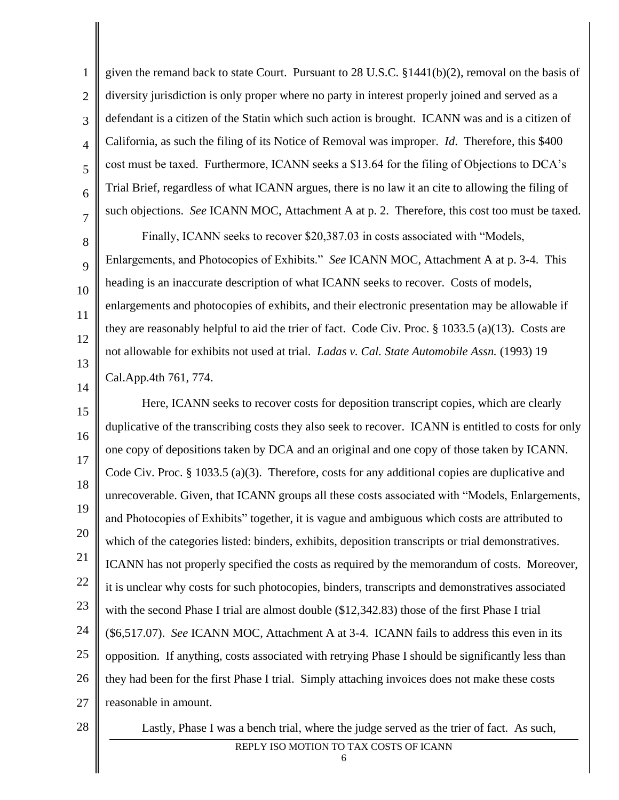given the remand back to state Court. Pursuant to 28 U.S.C.  $\S 1441(b)(2)$ , removal on the basis of diversity jurisdiction is only proper where no party in interest properly joined and served as a defendant is a citizen of the Statin which such action is brought. ICANN was and is a citizen of California, as such the filing of its Notice of Removal was improper. *Id*. Therefore, this \$400 cost must be taxed. Furthermore, ICANN seeks a \$13.64 for the filing of Objections to DCA's Trial Brief, regardless of what ICANN argues, there is no law it an cite to allowing the filing of such objections. *See* ICANN MOC, Attachment A at p. 2. Therefore, this cost too must be taxed.

Finally, ICANN seeks to recover \$20,387.03 in costs associated with "Models, Enlargements, and Photocopies of Exhibits." *See* ICANN MOC, Attachment A at p. 3-4. This heading is an inaccurate description of what ICANN seeks to recover. Costs of models, enlargements and photocopies of exhibits, and their electronic presentation may be allowable if they are reasonably helpful to aid the trier of fact. Code Civ. Proc. § 1033.5 (a)(13). Costs are not allowable for exhibits not used at trial. *Ladas v. Cal. State Automobile Assn.* (1993) 19 Cal.App.4th 761, 774.

14

1

2

3

4

5

6

7

8

9

10

11

12

13

15 16 17 18 19 20 21 22 23 24 25 26 27 Here, ICANN seeks to recover costs for deposition transcript copies, which are clearly duplicative of the transcribing costs they also seek to recover. ICANN is entitled to costs for only one copy of depositions taken by DCA and an original and one copy of those taken by ICANN. Code Civ. Proc. § 1033.5 (a)(3). Therefore, costs for any additional copies are duplicative and unrecoverable. Given, that ICANN groups all these costs associated with "Models, Enlargements, and Photocopies of Exhibits" together, it is vague and ambiguous which costs are attributed to which of the categories listed: binders, exhibits, deposition transcripts or trial demonstratives. ICANN has not properly specified the costs as required by the memorandum of costs. Moreover, it is unclear why costs for such photocopies, binders, transcripts and demonstratives associated with the second Phase I trial are almost double (\$12,342.83) those of the first Phase I trial (\$6,517.07). *See* ICANN MOC, Attachment A at 3-4. ICANN fails to address this even in its opposition. If anything, costs associated with retrying Phase I should be significantly less than they had been for the first Phase I trial. Simply attaching invoices does not make these costs reasonable in amount.

28

Lastly, Phase I was a bench trial, where the judge served as the trier of fact. As such,

## REPLY ISO MOTION TO TAX COSTS OF ICANN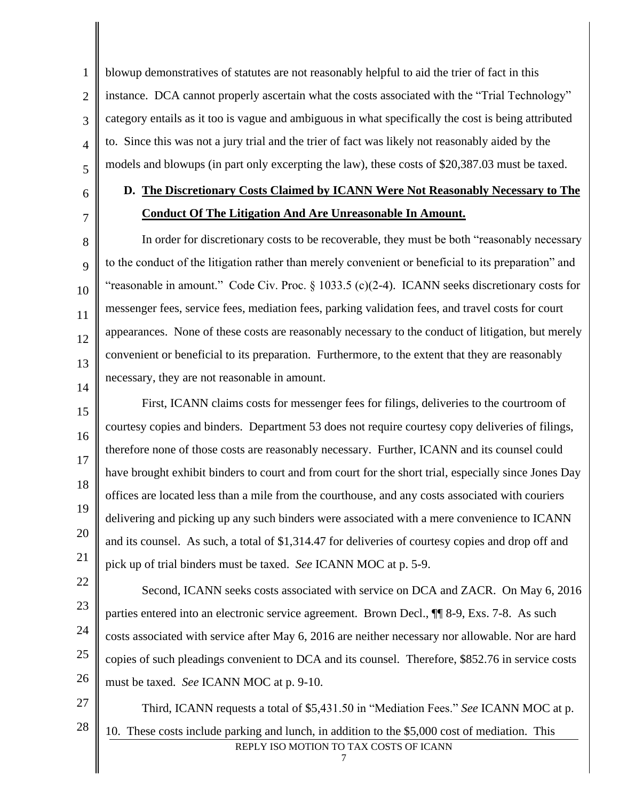3 4 blowup demonstratives of statutes are not reasonably helpful to aid the trier of fact in this instance. DCA cannot properly ascertain what the costs associated with the "Trial Technology" category entails as it too is vague and ambiguous in what specifically the cost is being attributed to. Since this was not a jury trial and the trier of fact was likely not reasonably aided by the models and blowups (in part only excerpting the law), these costs of \$20,387.03 must be taxed.

6

5

1

2

7

8

9

10

11

12

13

14

# **D. The Discretionary Costs Claimed by ICANN Were Not Reasonably Necessary to The Conduct Of The Litigation And Are Unreasonable In Amount.**

In order for discretionary costs to be recoverable, they must be both "reasonably necessary to the conduct of the litigation rather than merely convenient or beneficial to its preparation" and "reasonable in amount." Code Civ. Proc.  $\S$  1033.5 (c)(2-4). ICANN seeks discretionary costs for messenger fees, service fees, mediation fees, parking validation fees, and travel costs for court appearances. None of these costs are reasonably necessary to the conduct of litigation, but merely convenient or beneficial to its preparation. Furthermore, to the extent that they are reasonably necessary, they are not reasonable in amount.

15 16 17 18 19 20 21 First, ICANN claims costs for messenger fees for filings, deliveries to the courtroom of courtesy copies and binders. Department 53 does not require courtesy copy deliveries of filings, therefore none of those costs are reasonably necessary. Further, ICANN and its counsel could have brought exhibit binders to court and from court for the short trial, especially since Jones Day offices are located less than a mile from the courthouse, and any costs associated with couriers delivering and picking up any such binders were associated with a mere convenience to ICANN and its counsel. As such, a total of \$1,314.47 for deliveries of courtesy copies and drop off and pick up of trial binders must be taxed. *See* ICANN MOC at p. 5-9.

22 23 24 25 26 Second, ICANN seeks costs associated with service on DCA and ZACR. On May 6, 2016 parties entered into an electronic service agreement. Brown Decl., ¶¶ 8-9, Exs. 7-8. As such costs associated with service after May 6, 2016 are neither necessary nor allowable. Nor are hard copies of such pleadings convenient to DCA and its counsel. Therefore, \$852.76 in service costs must be taxed. *See* ICANN MOC at p. 9-10.

27

28

REPLY ISO MOTION TO TAX COSTS OF ICANN Third, ICANN requests a total of \$5,431.50 in "Mediation Fees." *See* ICANN MOC at p. 10. These costs include parking and lunch, in addition to the \$5,000 cost of mediation. This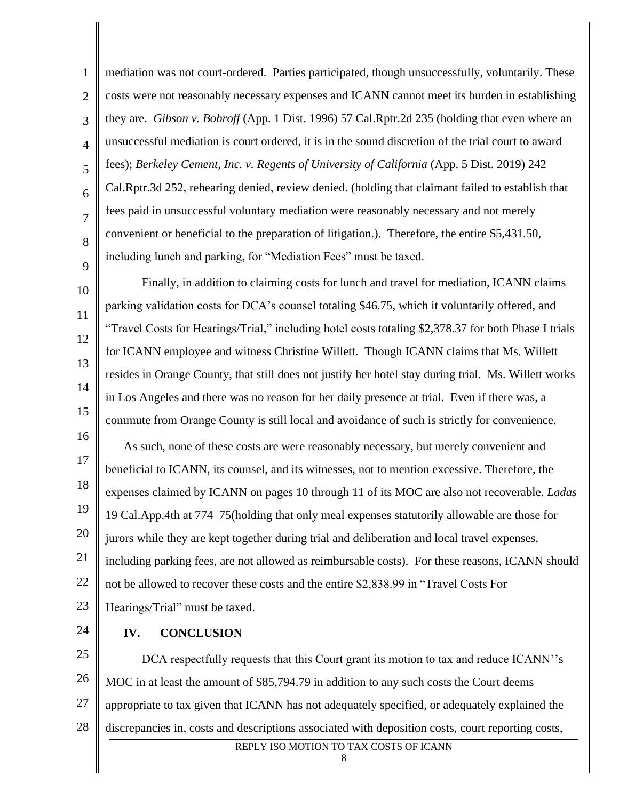1 2 3 4 5 6 7 8 9 mediation was not court-ordered. Parties participated, though unsuccessfully, voluntarily. These costs were not reasonably necessary expenses and ICANN cannot meet its burden in establishing they are. *Gibson v. Bobroff* (App. 1 Dist. 1996) 57 Cal.Rptr.2d 235 (holding that even where an unsuccessful mediation is court ordered, it is in the sound discretion of the trial court to award fees); *Berkeley Cement, Inc. v. Regents of University of California* (App. 5 Dist. 2019) 242 Cal.Rptr.3d 252, rehearing denied, review denied. (holding that claimant failed to establish that fees paid in unsuccessful voluntary mediation were reasonably necessary and not merely convenient or beneficial to the preparation of litigation.). Therefore, the entire \$5,431.50, including lunch and parking, for "Mediation Fees" must be taxed.

10 11 12 13 14 15 Finally, in addition to claiming costs for lunch and travel for mediation, ICANN claims parking validation costs for DCA's counsel totaling \$46.75, which it voluntarily offered, and "Travel Costs for Hearings/Trial," including hotel costs totaling \$2,378.37 for both Phase I trials for ICANN employee and witness Christine Willett. Though ICANN claims that Ms. Willett resides in Orange County, that still does not justify her hotel stay during trial. Ms. Willett works in Los Angeles and there was no reason for her daily presence at trial. Even if there was, a commute from Orange County is still local and avoidance of such is strictly for convenience.

16 17 18 19 20 21 22 23 As such, none of these costs are were reasonably necessary, but merely convenient and beneficial to ICANN, its counsel, and its witnesses, not to mention excessive. Therefore, the expenses claimed by ICANN on pages 10 through 11 of its MOC are also not recoverable. *Ladas*  19 Cal.App.4th at 774–75(holding that only meal expenses statutorily allowable are those for jurors while they are kept together during trial and deliberation and local travel expenses, including parking fees, are not allowed as reimbursable costs). For these reasons, ICANN should not be allowed to recover these costs and the entire \$2,838.99 in "Travel Costs For Hearings/Trial" must be taxed.

24

#### **IV. CONCLUSION**

25 26 27 28 DCA respectfully requests that this Court grant its motion to tax and reduce ICANN''s MOC in at least the amount of \$85,794.79 in addition to any such costs the Court deems appropriate to tax given that ICANN has not adequately specified, or adequately explained the discrepancies in, costs and descriptions associated with deposition costs, court reporting costs,

REPLY ISO MOTION TO TAX COSTS OF ICANN